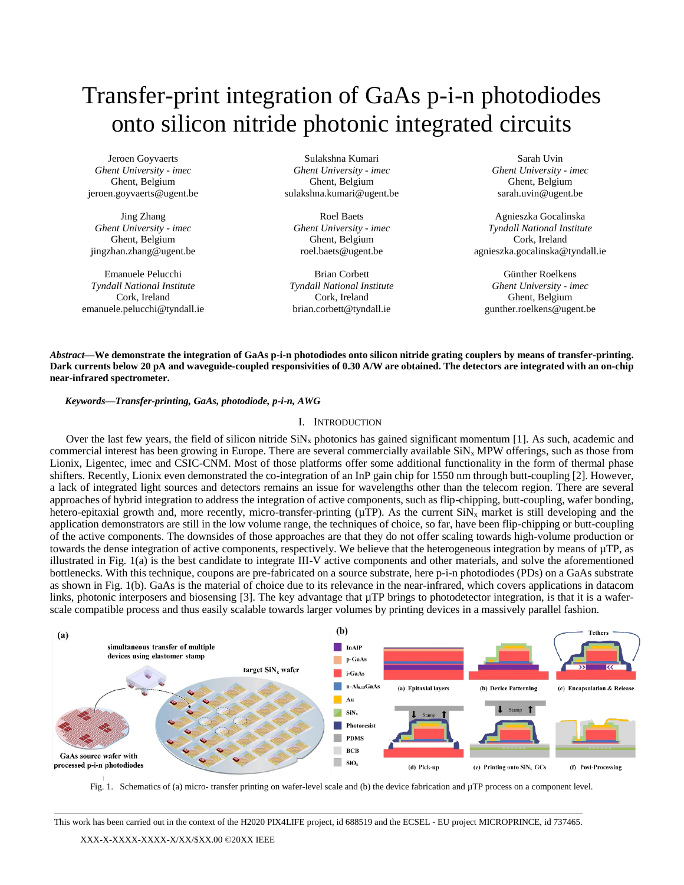# Transfer-print integration of GaAs p-i-n photodiodes onto silicon nitride photonic integrated circuits

Jeroen Goyvaerts *Ghent University - imec* Ghent, Belgium jeroen.goyvaerts@ugent.be

Jing Zhang *Ghent University - imec* Ghent, Belgium jingzhan.zhang@ugent.be

Emanuele Pelucchi *Tyndall National Institute* Cork, Ireland emanuele.pelucchi@tyndall.ie

Sulakshna Kumari *Ghent University - imec* Ghent, Belgium sulakshna.kumari@ugent.be

Roel Baets *Ghent University - imec* Ghent, Belgium roel.baets@ugent.be

Brian Corbett *Tyndall National Institute* Cork, Ireland brian.corbett@tyndall.ie

Sarah Uvin *Ghent University - imec* Ghent, Belgium sarah.uvin@ugent.be

Agnieszka Gocalinska *Tyndall National Institute* Cork, Ireland agnieszka.gocalinska@tyndall.ie

Günther Roelkens *Ghent University - imec* Ghent, Belgium gunther.roelkens@ugent.be

*Abstract***—We demonstrate the integration of GaAs p-i-n photodiodes onto silicon nitride grating couplers by means of transfer-printing. Dark currents below 20 pA and waveguide-coupled responsivities of 0.30 A/W are obtained. The detectors are integrated with an on-chip near-infrared spectrometer.**

*Keywords—Transfer-printing, GaAs, photodiode, p-i-n, AWG*

## I. INTRODUCTION

Over the last few years, the field of silicon nitride  $\sinh x$  photonics has gained significant momentum [1]. As such, academic and commercial interest has been growing in Europe. There are several commercially available  $\text{SiN}_x$  MPW offerings, such as those from Lionix, Ligentec, imec and CSIC-CNM. Most of those platforms offer some additional functionality in the form of thermal phase shifters. Recently, Lionix even demonstrated the co-integration of an InP gain chip for 1550 nm through butt-coupling [2]. However, a lack of integrated light sources and detectors remains an issue for wavelengths other than the telecom region. There are several approaches of hybrid integration to address the integration of active components, such as flip-chipping, butt-coupling, wafer bonding, hetero-epitaxial growth and, more recently, micro-transfer-printing ( $\mu$ TP). As the current SiN<sub>x</sub> market is still developing and the application demonstrators are still in the low volume range, the techniques of choice, so far, have been flip-chipping or butt-coupling of the active components. The downsides of those approaches are that they do not offer scaling towards high-volume production or towards the dense integration of active components, respectively. We believe that the heterogeneous integration by means of µTP, as illustrated in Fig. 1(a) is the best candidate to integrate III-V active components and other materials, and solve the aforementioned bottlenecks. With this technique, coupons are pre-fabricated on a source substrate, here p-i-n photodiodes (PDs) on a GaAs substrate as shown in Fig. 1(b). GaAs is the material of choice due to its relevance in the near-infrared, which covers applications in datacom links, photonic interposers and biosensing [3]. The key advantage that  $\mu$ TP brings to photodetector integration, is that it is a waferscale compatible process and thus easily scalable towards larger volumes by printing devices in a massively parallel fashion.



Fig. 1. Schematics of (a) micro- transfer printing on wafer-level scale and (b) the device fabrication and µTP process on a component level.

This work has been carried out in the context of the H2020 PIX4LIFE project, id 688519 and the ECSEL - EU project MICROPRINCE, id 737465.